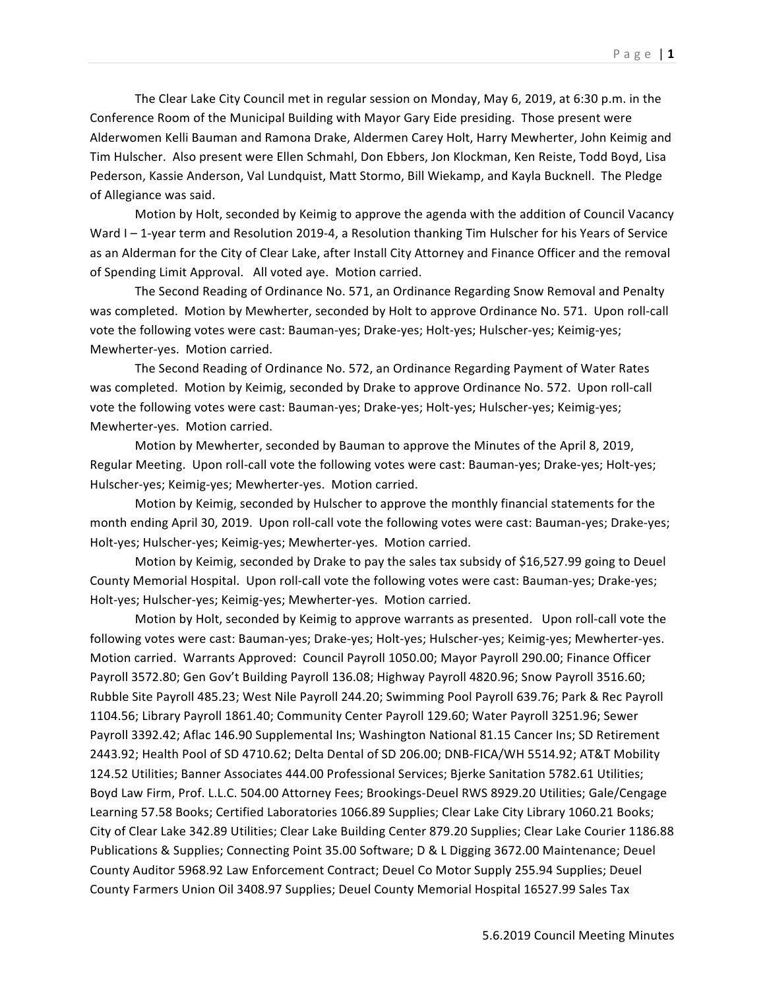The Clear Lake City Council met in regular session on Monday, May 6, 2019, at 6:30 p.m. in the Conference Room of the Municipal Building with Mayor Gary Eide presiding. Those present were Alderwomen Kelli Bauman and Ramona Drake, Aldermen Carey Holt, Harry Mewherter, John Keimig and Tim Hulscher. Also present were Ellen Schmahl, Don Ebbers, Jon Klockman, Ken Reiste, Todd Boyd, Lisa Pederson, Kassie Anderson, Val Lundquist, Matt Stormo, Bill Wiekamp, and Kayla Bucknell. The Pledge of Allegiance was said.

Motion by Holt, seconded by Keimig to approve the agenda with the addition of Council Vacancy Ward I-1-year term and Resolution 2019-4, a Resolution thanking Tim Hulscher for his Years of Service as an Alderman for the City of Clear Lake, after Install City Attorney and Finance Officer and the removal of Spending Limit Approval. All voted aye. Motion carried.

The Second Reading of Ordinance No. 571, an Ordinance Regarding Snow Removal and Penalty was completed. Motion by Mewherter, seconded by Holt to approve Ordinance No. 571. Upon roll-call vote the following votes were cast: Bauman-yes; Drake-yes; Holt-yes; Hulscher-yes; Keimig-yes; Mewherter-yes. Motion carried.

The Second Reading of Ordinance No. 572, an Ordinance Regarding Payment of Water Rates was completed. Motion by Keimig, seconded by Drake to approve Ordinance No. 572. Upon roll-call vote the following votes were cast: Bauman-yes; Drake-yes; Holt-yes; Hulscher-yes; Keimig-yes; Mewherter-yes. Motion carried.

Motion by Mewherter, seconded by Bauman to approve the Minutes of the April 8, 2019, Regular Meeting. Upon roll-call vote the following votes were cast: Bauman-yes; Drake-yes; Holt-yes; Hulscher-yes; Keimig-yes; Mewherter-yes. Motion carried.

Motion by Keimig, seconded by Hulscher to approve the monthly financial statements for the month ending April 30, 2019. Upon roll-call vote the following votes were cast: Bauman-yes; Drake-yes; Holt-yes; Hulscher-yes; Keimig-yes; Mewherter-yes. Motion carried.

Motion by Keimig, seconded by Drake to pay the sales tax subsidy of \$16,527.99 going to Deuel County Memorial Hospital. Upon roll-call vote the following votes were cast: Bauman-yes; Drake-yes; Holt-yes; Hulscher-yes; Keimig-yes; Mewherter-yes. Motion carried.

Motion by Holt, seconded by Keimig to approve warrants as presented. Upon roll-call vote the following votes were cast: Bauman-yes; Drake-yes; Holt-yes; Hulscher-yes; Keimig-yes; Mewherter-yes. Motion carried. Warrants Approved: Council Payroll 1050.00; Mayor Payroll 290.00; Finance Officer Payroll 3572.80; Gen Gov't Building Payroll 136.08; Highway Payroll 4820.96; Snow Payroll 3516.60; Rubble Site Payroll 485.23; West Nile Payroll 244.20; Swimming Pool Payroll 639.76; Park & Rec Payroll 1104.56; Library Payroll 1861.40; Community Center Payroll 129.60; Water Payroll 3251.96; Sewer Payroll 3392.42; Aflac 146.90 Supplemental Ins; Washington National 81.15 Cancer Ins; SD Retirement 2443.92; Health Pool of SD 4710.62; Delta Dental of SD 206.00; DNB-FICA/WH 5514.92; AT&T Mobility 124.52 Utilities; Banner Associates 444.00 Professional Services; Bjerke Sanitation 5782.61 Utilities; Boyd Law Firm, Prof. L.L.C. 504.00 Attorney Fees; Brookings-Deuel RWS 8929.20 Utilities; Gale/Cengage Learning 57.58 Books; Certified Laboratories 1066.89 Supplies; Clear Lake City Library 1060.21 Books; City of Clear Lake 342.89 Utilities; Clear Lake Building Center 879.20 Supplies; Clear Lake Courier 1186.88 Publications & Supplies; Connecting Point 35.00 Software; D & L Digging 3672.00 Maintenance; Deuel County Auditor 5968.92 Law Enforcement Contract; Deuel Co Motor Supply 255.94 Supplies; Deuel County Farmers Union Oil 3408.97 Supplies; Deuel County Memorial Hospital 16527.99 Sales Tax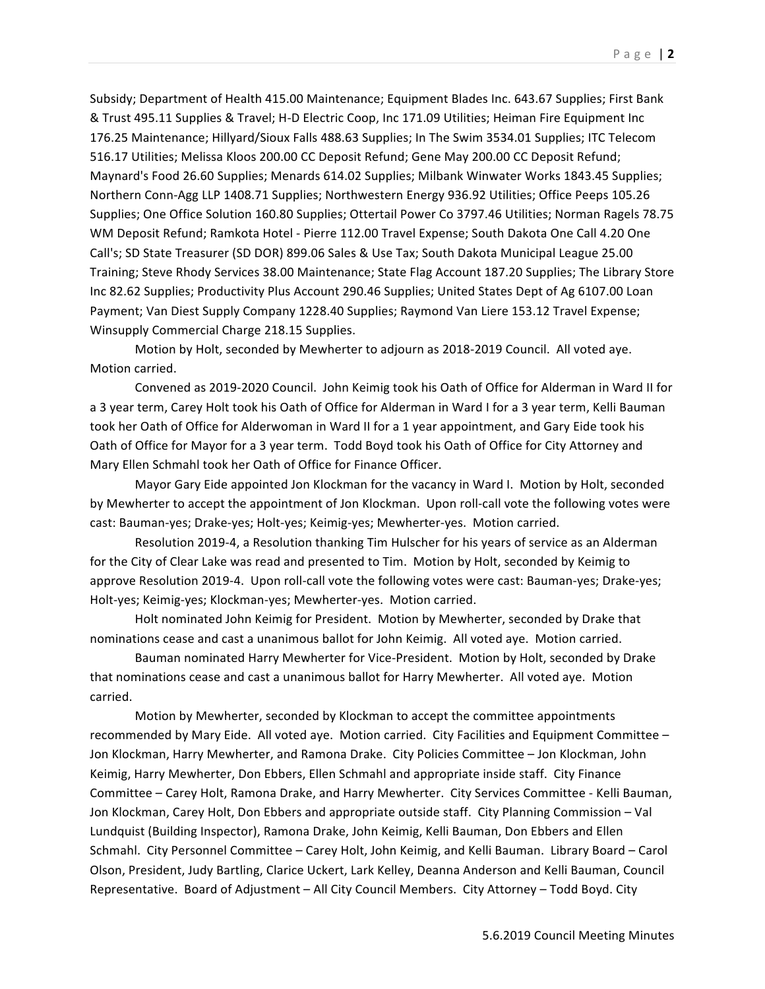Subsidy; Department of Health 415.00 Maintenance; Equipment Blades Inc. 643.67 Supplies; First Bank & Trust 495.11 Supplies & Travel; H-D Electric Coop, Inc 171.09 Utilities; Heiman Fire Equipment Inc 176.25 Maintenance; Hillyard/Sioux Falls 488.63 Supplies; In The Swim 3534.01 Supplies; ITC Telecom 516.17 Utilities; Melissa Kloos 200.00 CC Deposit Refund; Gene May 200.00 CC Deposit Refund; Maynard's Food 26.60 Supplies; Menards 614.02 Supplies; Milbank Winwater Works 1843.45 Supplies; Northern Conn-Agg LLP 1408.71 Supplies; Northwestern Energy 936.92 Utilities; Office Peeps 105.26 Supplies; One Office Solution 160.80 Supplies; Ottertail Power Co 3797.46 Utilities; Norman Ragels 78.75 WM Deposit Refund; Ramkota Hotel - Pierre 112.00 Travel Expense; South Dakota One Call 4.20 One Call's; SD State Treasurer (SD DOR) 899.06 Sales & Use Tax; South Dakota Municipal League 25.00 Training; Steve Rhody Services 38.00 Maintenance; State Flag Account 187.20 Supplies; The Library Store Inc 82.62 Supplies; Productivity Plus Account 290.46 Supplies; United States Dept of Ag 6107.00 Loan Payment; Van Diest Supply Company 1228.40 Supplies; Raymond Van Liere 153.12 Travel Expense; Winsupply Commercial Charge 218.15 Supplies.

Motion by Holt, seconded by Mewherter to adjourn as 2018-2019 Council. All voted aye. Motion carried.

Convened as 2019-2020 Council. John Keimig took his Oath of Office for Alderman in Ward II for a 3 year term, Carey Holt took his Oath of Office for Alderman in Ward I for a 3 year term, Kelli Bauman took her Oath of Office for Alderwoman in Ward II for a 1 year appointment, and Gary Eide took his Oath of Office for Mayor for a 3 year term. Todd Boyd took his Oath of Office for City Attorney and Mary Ellen Schmahl took her Oath of Office for Finance Officer.

Mayor Gary Eide appointed Jon Klockman for the vacancy in Ward I. Motion by Holt, seconded by Mewherter to accept the appointment of Jon Klockman. Upon roll-call vote the following votes were cast: Bauman-yes; Drake-yes; Holt-yes; Keimig-yes; Mewherter-yes. Motion carried.

Resolution 2019-4, a Resolution thanking Tim Hulscher for his years of service as an Alderman for the City of Clear Lake was read and presented to Tim. Motion by Holt, seconded by Keimig to approve Resolution 2019-4. Upon roll-call vote the following votes were cast: Bauman-yes; Drake-yes; Holt-yes; Keimig-yes; Klockman-yes; Mewherter-yes. Motion carried.

Holt nominated John Keimig for President. Motion by Mewherter, seconded by Drake that nominations cease and cast a unanimous ballot for John Keimig. All voted aye. Motion carried.

Bauman nominated Harry Mewherter for Vice-President. Motion by Holt, seconded by Drake that nominations cease and cast a unanimous ballot for Harry Mewherter. All voted aye. Motion carried.

Motion by Mewherter, seconded by Klockman to accept the committee appointments recommended by Mary Eide. All voted aye. Motion carried. City Facilities and Equipment Committee -Jon Klockman, Harry Mewherter, and Ramona Drake. City Policies Committee - Jon Klockman, John Keimig, Harry Mewherter, Don Ebbers, Ellen Schmahl and appropriate inside staff. City Finance Committee - Carey Holt, Ramona Drake, and Harry Mewherter. City Services Committee - Kelli Bauman, Jon Klockman, Carey Holt, Don Ebbers and appropriate outside staff. City Planning Commission - Val Lundquist (Building Inspector), Ramona Drake, John Keimig, Kelli Bauman, Don Ebbers and Ellen Schmahl. City Personnel Committee - Carey Holt, John Keimig, and Kelli Bauman. Library Board - Carol Olson, President, Judy Bartling, Clarice Uckert, Lark Kelley, Deanna Anderson and Kelli Bauman, Council Representative. Board of Adjustment - All City Council Members. City Attorney - Todd Boyd. City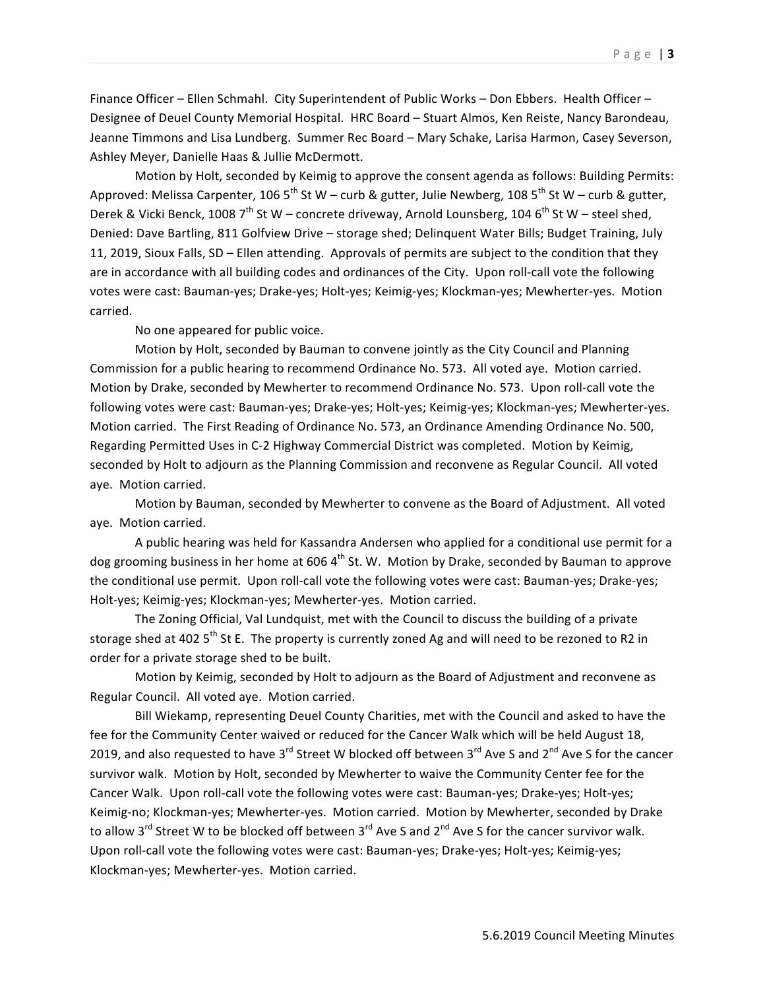Finance Officer – Ellen Schmahl. City Superintendent of Public Works – Don Ebbers. Health Officer – Designee of Deuel County Memorial Hospital. HRC Board - Stuart Almos, Ken Reiste, Nancy Barondeau, Jeanne Timmons and Lisa Lundberg. Summer Rec Board - Mary Schake, Larisa Harmon, Casey Severson, Ashley Meyer, Danielle Haas & Jullie McDermott.

Motion by Holt, seconded by Keimig to approve the consent agenda as follows: Building Permits: Approved: Melissa Carpenter, 106  $5^{th}$  St W – curb & gutter, Julie Newberg, 108  $5^{th}$  St W – curb & gutter, Derek & Vicki Benck, 1008  $7^{th}$  St W – concrete driveway, Arnold Lounsberg, 104 6<sup>th</sup> St W – steel shed, Denied: Dave Bartling, 811 Golfview Drive - storage shed; Delinquent Water Bills; Budget Training, July 11, 2019, Sioux Falls, SD – Ellen attending. Approvals of permits are subject to the condition that they are in accordance with all building codes and ordinances of the City. Upon roll-call vote the following votes were cast: Bauman-yes; Drake-yes; Holt-yes; Keimig-yes; Klockman-yes; Mewherter-yes. Motion carried.

No one appeared for public voice.

Motion by Holt, seconded by Bauman to convene jointly as the City Council and Planning Commission for a public hearing to recommend Ordinance No. 573. All voted aye. Motion carried. Motion by Drake, seconded by Mewherter to recommend Ordinance No. 573. Upon roll-call vote the following votes were cast: Bauman-yes; Drake-yes; Holt-yes; Keimig-yes; Klockman-yes; Mewherter-yes. Motion carried. The First Reading of Ordinance No. 573, an Ordinance Amending Ordinance No. 500, Regarding Permitted Uses in C-2 Highway Commercial District was completed. Motion by Keimig, seconded by Holt to adjourn as the Planning Commission and reconvene as Regular Council. All voted aye. Motion carried.

Motion by Bauman, seconded by Mewherter to convene as the Board of Adjustment. All voted aye. Motion carried.

A public hearing was held for Kassandra Andersen who applied for a conditional use permit for a dog grooming business in her home at 606  $4<sup>th</sup>$  St. W. Motion by Drake, seconded by Bauman to approve the conditional use permit. Upon roll-call vote the following votes were cast: Bauman-yes; Drake-yes; Holt-yes; Keimig-yes; Klockman-yes; Mewherter-yes. Motion carried.

The Zoning Official, Val Lundquist, met with the Council to discuss the building of a private storage shed at 402  $5<sup>th</sup>$  St E. The property is currently zoned Ag and will need to be rezoned to R2 in order for a private storage shed to be built.

Motion by Keimig, seconded by Holt to adjourn as the Board of Adjustment and reconvene as Regular Council. All voted aye. Motion carried.

Bill Wiekamp, representing Deuel County Charities, met with the Council and asked to have the fee for the Community Center waived or reduced for the Cancer Walk which will be held August 18, 2019, and also requested to have 3<sup>rd</sup> Street W blocked off between 3<sup>rd</sup> Ave S and 2<sup>nd</sup> Ave S for the cancer survivor walk. Motion by Holt, seconded by Mewherter to waive the Community Center fee for the Cancer Walk. Upon roll-call vote the following votes were cast: Bauman-yes; Drake-yes; Holt-yes; Keimig-no; Klockman-yes; Mewherter-yes. Motion carried. Motion by Mewherter, seconded by Drake to allow  $3^{rd}$  Street W to be blocked off between  $3^{rd}$  Ave S and  $2^{nd}$  Ave S for the cancer survivor walk. Upon roll-call vote the following votes were cast: Bauman-yes; Drake-yes; Holt-yes; Keimig-yes; Klockman-yes; Mewherter-yes. Motion carried.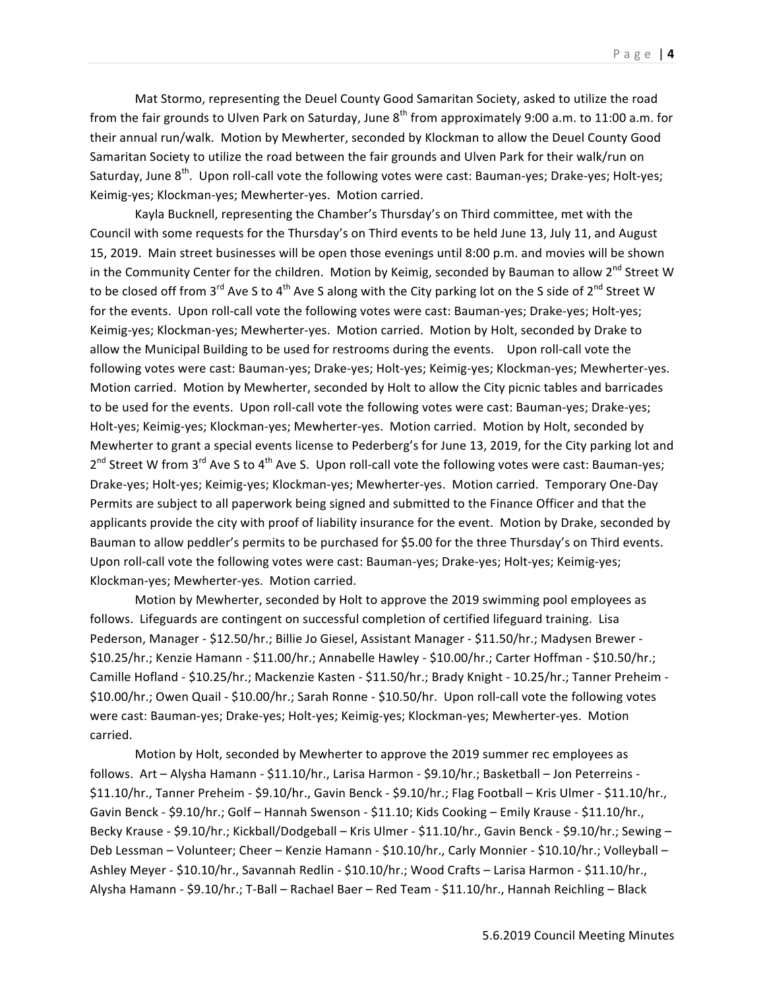Mat Stormo, representing the Deuel County Good Samaritan Society, asked to utilize the road from the fair grounds to Ulven Park on Saturday, June  $8^{th}$  from approximately 9:00 a.m. to 11:00 a.m. for their annual run/walk. Motion by Mewherter, seconded by Klockman to allow the Deuel County Good Samaritan Society to utilize the road between the fair grounds and Ulven Park for their walk/run on Saturday, June  $8^{th}$ . Upon roll-call vote the following votes were cast: Bauman-yes; Drake-yes; Holt-yes; Keimig-yes; Klockman-yes; Mewherter-yes. Motion carried.

Kayla Bucknell, representing the Chamber's Thursday's on Third committee, met with the Council with some requests for the Thursday's on Third events to be held June 13, July 11, and August 15, 2019. Main street businesses will be open those evenings until 8:00 p.m. and movies will be shown in the Community Center for the children. Motion by Keimig, seconded by Bauman to allow 2<sup>nd</sup> Street W to be closed off from 3<sup>rd</sup> Ave S to 4<sup>th</sup> Ave S along with the City parking lot on the S side of 2<sup>nd</sup> Street W for the events. Upon roll-call vote the following votes were cast: Bauman-yes; Drake-yes; Holt-yes; Keimig-yes; Klockman-yes; Mewherter-yes. Motion carried. Motion by Holt, seconded by Drake to allow the Municipal Building to be used for restrooms during the events. Upon roll-call vote the following votes were cast: Bauman-yes; Drake-yes; Holt-yes; Keimig-yes; Klockman-yes; Mewherter-yes. Motion carried. Motion by Mewherter, seconded by Holt to allow the City picnic tables and barricades to be used for the events. Upon roll-call vote the following votes were cast: Bauman-yes; Drake-yes; Holt-yes; Keimig-yes; Klockman-yes; Mewherter-yes. Motion carried. Motion by Holt, seconded by Mewherter to grant a special events license to Pederberg's for June 13, 2019, for the City parking lot and  $2^{nd}$  Street W from  $3^{rd}$  Ave S to  $4^{th}$  Ave S. Upon roll-call vote the following votes were cast: Bauman-yes; Drake-yes; Holt-yes; Keimig-yes; Klockman-yes; Mewherter-yes. Motion carried. Temporary One-Day Permits are subject to all paperwork being signed and submitted to the Finance Officer and that the applicants provide the city with proof of liability insurance for the event. Motion by Drake, seconded by Bauman to allow peddler's permits to be purchased for \$5.00 for the three Thursday's on Third events. Upon roll-call vote the following votes were cast: Bauman-yes; Drake-yes; Holt-yes; Keimig-yes; Klockman-yes; Mewherter-yes. Motion carried.

Motion by Mewherter, seconded by Holt to approve the 2019 swimming pool employees as follows. Lifeguards are contingent on successful completion of certified lifeguard training. Lisa Pederson, Manager - \$12.50/hr.; Billie Jo Giesel, Assistant Manager - \$11.50/hr.; Madysen Brewer -\$10.25/hr.; Kenzie Hamann - \$11.00/hr.; Annabelle Hawley - \$10.00/hr.; Carter Hoffman - \$10.50/hr.; Camille Hofland - \$10.25/hr.; Mackenzie Kasten - \$11.50/hr.; Brady Knight - 10.25/hr.; Tanner Preheim -\$10.00/hr.; Owen Quail - \$10.00/hr.; Sarah Ronne - \$10.50/hr. Upon roll-call vote the following votes were cast: Bauman-yes; Drake-yes; Holt-yes; Keimig-yes; Klockman-yes; Mewherter-yes. Motion carried. 

Motion by Holt, seconded by Mewherter to approve the 2019 summer rec employees as follows. Art - Alysha Hamann - \$11.10/hr., Larisa Harmon - \$9.10/hr.; Basketball - Jon Peterreins -\$11.10/hr., Tanner Preheim - \$9.10/hr., Gavin Benck - \$9.10/hr.; Flag Football - Kris Ulmer - \$11.10/hr., Gavin Benck - \$9.10/hr.; Golf - Hannah Swenson - \$11.10; Kids Cooking - Emily Krause - \$11.10/hr., Becky Krause - \$9.10/hr.; Kickball/Dodgeball - Kris Ulmer - \$11.10/hr., Gavin Benck - \$9.10/hr.; Sewing -Deb Lessman - Volunteer; Cheer - Kenzie Hamann - \$10.10/hr., Carly Monnier - \$10.10/hr.; Volleyball -Ashley Meyer - \$10.10/hr., Savannah Redlin - \$10.10/hr.; Wood Crafts - Larisa Harmon - \$11.10/hr., Alysha Hamann - \$9.10/hr.; T-Ball - Rachael Baer - Red Team - \$11.10/hr., Hannah Reichling - Black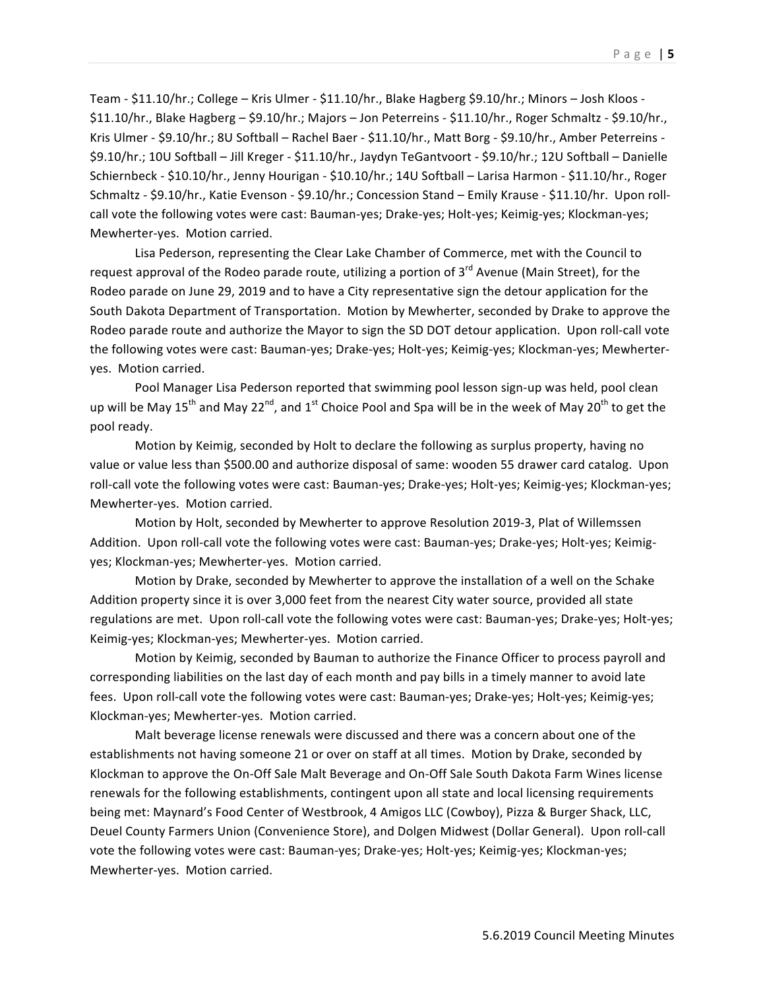Team - \$11.10/hr.; College - Kris Ulmer - \$11.10/hr., Blake Hagberg \$9.10/hr.; Minors - Josh Kloos -\$11.10/hr., Blake Hagberg – \$9.10/hr.; Majors – Jon Peterreins - \$11.10/hr., Roger Schmaltz - \$9.10/hr., Kris Ulmer - \$9.10/hr.; 8U Softball - Rachel Baer - \$11.10/hr., Matt Borg - \$9.10/hr., Amber Peterreins -\$9.10/hr.; 10U Softball - Jill Kreger - \$11.10/hr., Jaydyn TeGantvoort - \$9.10/hr.; 12U Softball - Danielle Schiernbeck - \$10.10/hr., Jenny Hourigan - \$10.10/hr.; 14U Softball – Larisa Harmon - \$11.10/hr., Roger Schmaltz - \$9.10/hr., Katie Evenson - \$9.10/hr.; Concession Stand - Emily Krause - \$11.10/hr. Upon rollcall vote the following votes were cast: Bauman-yes; Drake-yes; Holt-yes; Keimig-yes; Klockman-yes; Mewherter-yes. Motion carried.

Lisa Pederson, representing the Clear Lake Chamber of Commerce, met with the Council to request approval of the Rodeo parade route, utilizing a portion of  $3^{rd}$  Avenue (Main Street), for the Rodeo parade on June 29, 2019 and to have a City representative sign the detour application for the South Dakota Department of Transportation. Motion by Mewherter, seconded by Drake to approve the Rodeo parade route and authorize the Mayor to sign the SD DOT detour application. Upon roll-call vote the following votes were cast: Bauman-yes; Drake-yes; Holt-yes; Keimig-yes; Klockman-yes; Mewherteryes. Motion carried.

Pool Manager Lisa Pederson reported that swimming pool lesson sign-up was held, pool clean up will be May  $15^{th}$  and May 22<sup>nd</sup>, and 1<sup>st</sup> Choice Pool and Spa will be in the week of May 20<sup>th</sup> to get the pool ready.

Motion by Keimig, seconded by Holt to declare the following as surplus property, having no value or value less than \$500.00 and authorize disposal of same: wooden 55 drawer card catalog. Upon roll-call vote the following votes were cast: Bauman-yes; Drake-yes; Holt-yes; Keimig-yes; Klockman-yes; Mewherter-yes. Motion carried.

Motion by Holt, seconded by Mewherter to approve Resolution 2019-3, Plat of Willemssen Addition. Upon roll-call vote the following votes were cast: Bauman-yes; Drake-yes; Holt-yes; Keimigyes; Klockman-yes; Mewherter-yes. Motion carried.

Motion by Drake, seconded by Mewherter to approve the installation of a well on the Schake Addition property since it is over 3,000 feet from the nearest City water source, provided all state regulations are met. Upon roll-call vote the following votes were cast: Bauman-yes; Drake-yes; Holt-yes; Keimig-yes; Klockman-yes; Mewherter-yes. Motion carried.

Motion by Keimig, seconded by Bauman to authorize the Finance Officer to process payroll and corresponding liabilities on the last day of each month and pay bills in a timely manner to avoid late fees. Upon roll-call vote the following votes were cast: Bauman-yes; Drake-yes; Holt-yes; Keimig-yes; Klockman-yes; Mewherter-yes. Motion carried.

Malt beverage license renewals were discussed and there was a concern about one of the establishments not having someone 21 or over on staff at all times. Motion by Drake, seconded by Klockman to approve the On-Off Sale Malt Beverage and On-Off Sale South Dakota Farm Wines license renewals for the following establishments, contingent upon all state and local licensing requirements being met: Maynard's Food Center of Westbrook, 4 Amigos LLC (Cowboy), Pizza & Burger Shack, LLC, Deuel County Farmers Union (Convenience Store), and Dolgen Midwest (Dollar General). Upon roll-call vote the following votes were cast: Bauman-yes; Drake-yes; Holt-yes; Keimig-yes; Klockman-yes; Mewherter-yes. Motion carried.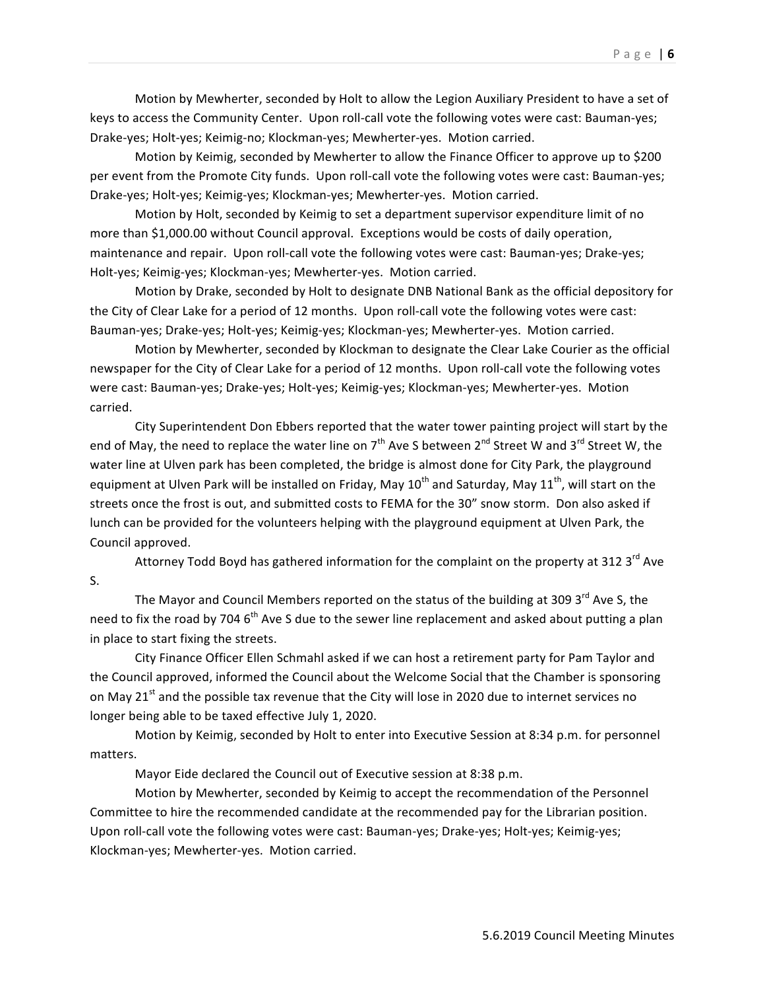Motion by Mewherter, seconded by Holt to allow the Legion Auxiliary President to have a set of keys to access the Community Center. Upon roll-call vote the following votes were cast: Bauman-yes; Drake-yes; Holt-yes; Keimig-no; Klockman-yes; Mewherter-yes. Motion carried.

Motion by Keimig, seconded by Mewherter to allow the Finance Officer to approve up to \$200 per event from the Promote City funds. Upon roll-call vote the following votes were cast: Bauman-yes; Drake-yes; Holt-yes; Keimig-yes; Klockman-yes; Mewherter-yes. Motion carried.

Motion by Holt, seconded by Keimig to set a department supervisor expenditure limit of no more than \$1,000.00 without Council approval. Exceptions would be costs of daily operation, maintenance and repair. Upon roll-call vote the following votes were cast: Bauman-yes; Drake-yes; Holt-yes; Keimig-yes; Klockman-yes; Mewherter-yes. Motion carried.

Motion by Drake, seconded by Holt to designate DNB National Bank as the official depository for the City of Clear Lake for a period of 12 months. Upon roll-call vote the following votes were cast: Bauman-yes; Drake-yes; Holt-yes; Keimig-yes; Klockman-yes; Mewherter-yes. Motion carried.

Motion by Mewherter, seconded by Klockman to designate the Clear Lake Courier as the official newspaper for the City of Clear Lake for a period of 12 months. Upon roll-call vote the following votes were cast: Bauman-yes; Drake-yes; Holt-yes; Keimig-yes; Klockman-yes; Mewherter-yes. Motion carried. 

City Superintendent Don Ebbers reported that the water tower painting project will start by the end of May, the need to replace the water line on  $7<sup>th</sup>$  Ave S between  $2<sup>nd</sup>$  Street W and  $3<sup>rd</sup>$  Street W, the water line at Ulven park has been completed, the bridge is almost done for City Park, the playground equipment at Ulven Park will be installed on Friday, May  $10^{th}$  and Saturday, May  $11^{th}$ , will start on the streets once the frost is out, and submitted costs to FEMA for the 30" snow storm. Don also asked if lunch can be provided for the volunteers helping with the playground equipment at Ulven Park, the Council approved.

Attorney Todd Boyd has gathered information for the complaint on the property at 312 3<sup>rd</sup> Ave S.

The Mayor and Council Members reported on the status of the building at 309  $3^{\text{rd}}$  Ave S, the need to fix the road by 704  $6<sup>th</sup>$  Ave S due to the sewer line replacement and asked about putting a plan in place to start fixing the streets.

City Finance Officer Ellen Schmahl asked if we can host a retirement party for Pam Taylor and the Council approved, informed the Council about the Welcome Social that the Chamber is sponsoring on May 21<sup>st</sup> and the possible tax revenue that the City will lose in 2020 due to internet services no longer being able to be taxed effective July 1, 2020.

Motion by Keimig, seconded by Holt to enter into Executive Session at 8:34 p.m. for personnel matters.

Mayor Eide declared the Council out of Executive session at 8:38 p.m.

Motion by Mewherter, seconded by Keimig to accept the recommendation of the Personnel Committee to hire the recommended candidate at the recommended pay for the Librarian position. Upon roll-call vote the following votes were cast: Bauman-yes; Drake-yes; Holt-yes; Keimig-yes; Klockman-yes; Mewherter-yes. Motion carried.